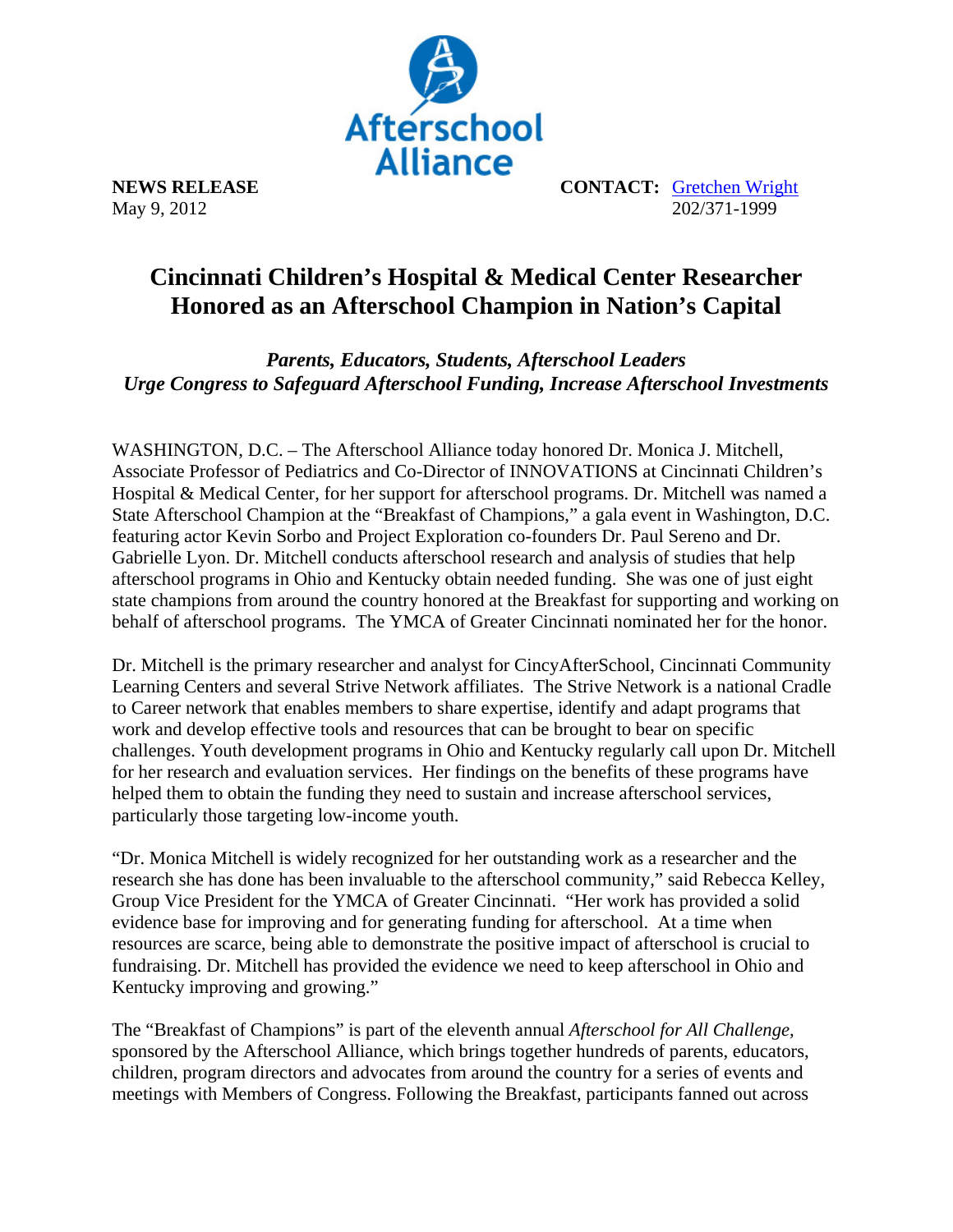

May 9, 2012

**NEWS RELEASE CONTACT: Gretchen Wright**<br>May 9, 2012<br>202/371-1999

## **Cincinnati Children's Hospital & Medical Center Researcher Honored as an Afterschool Champion in Nation's Capital**

*Parents, Educators, Students, Afterschool Leaders Urge Congress to Safeguard Afterschool Funding, Increase Afterschool Investments* 

WASHINGTON, D.C. – The Afterschool Alliance today honored Dr. Monica J. Mitchell, Associate Professor of Pediatrics and Co-Director of INNOVATIONS at Cincinnati Children's Hospital & Medical Center, for her support for afterschool programs. Dr. Mitchell was named a State Afterschool Champion at the "Breakfast of Champions," a gala event in Washington, D.C. featuring actor Kevin Sorbo and Project Exploration co-founders Dr. Paul Sereno and Dr. Gabrielle Lyon. Dr. Mitchell conducts afterschool research and analysis of studies that help afterschool programs in Ohio and Kentucky obtain needed funding. She was one of just eight state champions from around the country honored at the Breakfast for supporting and working on behalf of afterschool programs. The YMCA of Greater Cincinnati nominated her for the honor.

Dr. Mitchell is the primary researcher and analyst for CincyAfterSchool, Cincinnati Community Learning Centers and several Strive Network affiliates. The Strive Network is a national Cradle to Career network that enables members to share expertise, identify and adapt programs that work and develop effective tools and resources that can be brought to bear on specific challenges. Youth development programs in Ohio and Kentucky regularly call upon Dr. Mitchell for her research and evaluation services. Her findings on the benefits of these programs have helped them to obtain the funding they need to sustain and increase afterschool services, particularly those targeting low-income youth.

"Dr. Monica Mitchell is widely recognized for her outstanding work as a researcher and the research she has done has been invaluable to the afterschool community," said Rebecca Kelley, Group Vice President for the YMCA of Greater Cincinnati. "Her work has provided a solid evidence base for improving and for generating funding for afterschool. At a time when resources are scarce, being able to demonstrate the positive impact of afterschool is crucial to fundraising. Dr. Mitchell has provided the evidence we need to keep afterschool in Ohio and Kentucky improving and growing."

The "Breakfast of Champions" is part of the eleventh annual *Afterschool for All Challenge,* sponsored by the Afterschool Alliance, which brings together hundreds of parents, educators, children, program directors and advocates from around the country for a series of events and meetings with Members of Congress. Following the Breakfast, participants fanned out across